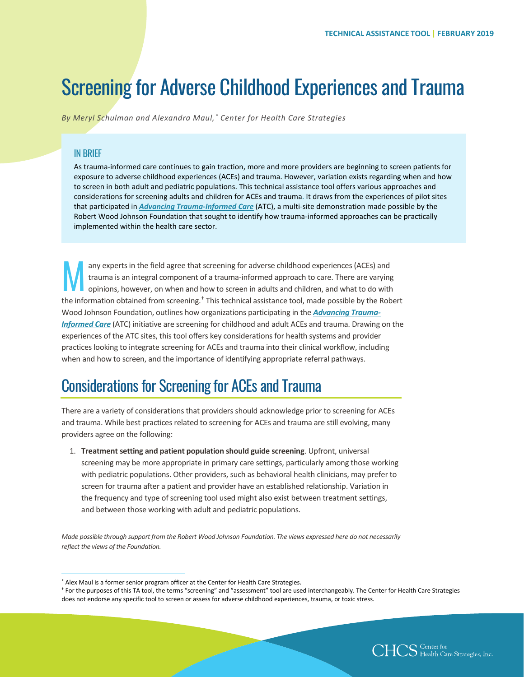# Screening for Adverse Childhood Experiences and Trauma

*By Meryl Schulman and Alexandra Maul, [\\*](#page-0-0) Center for Health Care Strategies*

#### **IN BRIFF**

As trauma-informed care continues to gain traction, more and more providers are beginning to screen patients for exposure to adverse childhood experiences (ACEs) and trauma. However, variation exists regarding when and how to screen in both adult and pediatric populations. This technical assistance tool offers various approaches and considerations for screening adults and children for ACEs and trauma. It draws from the experiences of pilot sites that participated in *[Advancing Trauma-Informed Care](https://www.chcs.org/project/advancing-trauma-informed-care/)* (ATC), a multi-site demonstration made possible by the Robert Wood Johnson Foundation that sought to identify how trauma-informed approaches can be practically implemented within the health care sector.

any experts in the field agree that screening for adverse childhood experiences (ACEs) and trauma is an integral component of a trauma-informed approach to care. There are varying opinions, however, on when and how to screen in adults and children, and what to do with the information obtained from screening.[†](#page-0-1) This technical assistance tool, made possible by the Robert Wood Johnson Foundation, outlines how organizations participating in the *[Advancing Trauma-](https://www.chcs.org/project/advancing-trauma-informed-care/)[Informed Care](https://www.chcs.org/project/advancing-trauma-informed-care/)* (ATC) initiative are screening for childhood and adult ACEs and trauma. Drawing on the experiences of the ATC sites, this tool offers key considerations for health systems and provider practices looking to integrate screening for ACEs and trauma into their clinical workflow, including when and how to screen, and the importance of identifying appropriate referral pathways. M

### Considerations for Screening for ACEs and Trauma

There are a variety of considerations that providers should acknowledge prior to screening for ACEs and trauma. While best practices related to screening for ACEs and trauma are still evolving, many providers agree on the following:

1. **Treatment setting and patient population should guide screening**. Upfront, universal screening may be more appropriate in primary care settings, particularly among those working with pediatric populations. Other providers, such as behavioral health clinicians, may prefer to screen for trauma after a patient and provider have an established relationship. Variation in the frequency and type of screening tool used might also exist between treatment settings, and between those working with adult and pediatric populations.

*Made possible through support from the Robert Wood Johnson Foundation. The views expressed here do not necessarily reflect the views of the Foundation.*



 <sup>\*</sup> Alex Maul is a former senior program officer at the Center for Health Care Strategies.

<span id="page-0-1"></span><span id="page-0-0"></span><sup>†</sup> For the purposes of this TA tool, the terms "screening" and "assessment" tool are used interchangeably. The Center for Health Care Strategies does not endorse any specific tool to screen or assess for adverse childhood experiences, trauma, or toxic stress.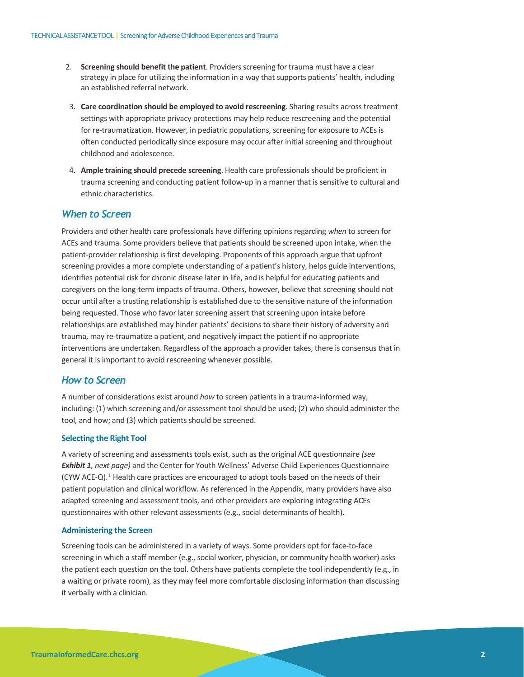- 2. **Screening should benefit the patient**. Providers screening for trauma must have a clear strategy in place for utilizing the information in a way that supports patients' health, including an established referral network.
- 3. **Care coordination should be employed to avoid rescreening.** Sharing results across treatment settings with appropriate privacy protections may help reduce rescreening and the potential for re-traumatization. However, in pediatric populations, screening for exposure to ACEs is often conducted periodically since exposure may occur after initial screening and throughout childhood and adolescence.
- 4. **Ample training should precede screening**. Health care professionals should be proficient in trauma screening and conducting patient follow-up in a manner that is sensitive to cultural and ethnic characteristics.

#### *When to Screen*

Providers and other health care professionals have differing opinions regarding *when* to screen for ACEs and trauma. Some providers believe that patients should be screened upon intake, when the patient-provider relationship is first developing. Proponents of this approach argue that upfront screening provides a more complete understanding of a patient's history, helps guide interventions, identifies potential risk for chronic disease later in life, and is helpful for educating patients and caregivers on the long-term impacts of trauma. Others, however, believe that screening should not occur until after a trusting relationship is established due to the sensitive nature of the information being requested. Those who favor later screening assert that screening upon intake before relationships are established may hinder patients' decisions to share their history of adversity and trauma, may re-traumatize a patient, and negatively impact the patient if no appropriate interventions are undertaken. Regardless of the approach a provider takes, there is consensus that in general it is important to avoid rescreening whenever possible.

#### *How to Screen*

A number of considerations exist around *how* to screen patients in a trauma-informed way, including: (1) which screening and/or assessment tool should be used; (2) who should administer the tool, and how; and (3) which patients should be screened.

#### **Selecting the Right Tool**

A variety of screening and assessments tools exist, such as the original ACE questionnaire *(see Exhibit 1, next page)* and the Center for Youth Wellness' Adverse Child Experiences Questionnaire (CYW ACE-Q)[.1](#page-4-0) Health care practices are encouraged to adopt tools based on the needs of their patient population and clinical workflow. As referenced in the Appendix, many providers have also adapted screening and assessment tools, and other providers are exploring integrating ACEs questionnaires with other relevant assessments (e.g., social determinants of health).

#### **Administering the Screen**

Screening tools can be administered in a variety of ways. Some providers opt for face-to-face screening in which a staff member (e.g., social worker, physician, or community health worker) asks the patient each question on the tool. Others have patients complete the tool independently (e.g., in a waiting or private room), as they may feel more comfortable disclosing information than discussing it verbally with a clinician.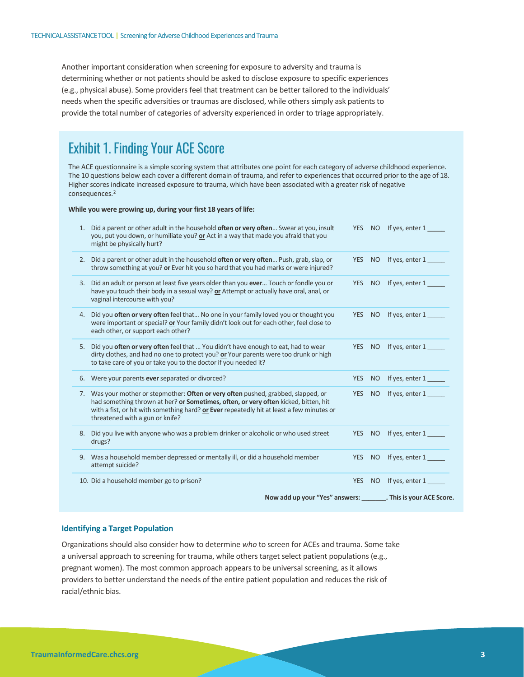Another important consideration when screening for exposure to adversity and trauma is determining whether or not patients should be asked to disclose exposure to specific experiences (e.g., physical abuse). Some providers feel that treatment can be better tailored to the individuals' needs when the specific adversities or traumas are disclosed, while others simply ask patients to provide the total number of categories of adversity experienced in order to triage appropriately.

### Exhibit 1. Finding Your ACE Score

The ACE questionnaire is a simple scoring system that attributes one point for each category of adverse childhood experience. The 10 questions below each cover a different domain of trauma, and refer to experiences that occurred prior to the age of 18. Higher scores indicate increased exposure to trauma, which have been associated with a greater risk of negative consequences[.2](#page-4-1)

#### **While you were growing up, during your first 18 years of life:**

|    | Now add up your "Yes" answers: ________. This is your ACE Score.                                                                                                                                                                                                                                          |            |                 |                   |
|----|-----------------------------------------------------------------------------------------------------------------------------------------------------------------------------------------------------------------------------------------------------------------------------------------------------------|------------|-----------------|-------------------|
|    | 10. Did a household member go to prison?                                                                                                                                                                                                                                                                  | <b>YES</b> | NO              | If yes, enter 1   |
|    | 9. Was a household member depressed or mentally ill, or did a household member<br>attempt suicide?                                                                                                                                                                                                        | <b>YES</b> | NO <sub>1</sub> | If yes, enter 1   |
| 8. | Did you live with anyone who was a problem drinker or alcoholic or who used street<br>drugs?                                                                                                                                                                                                              | <b>YES</b> | NO <sub>1</sub> | If yes, enter 1   |
|    | 7. Was your mother or stepmother: Often or very often pushed, grabbed, slapped, or<br>had something thrown at her? or Sometimes, often, or very often kicked, bitten, hit<br>with a fist, or hit with something hard? or Ever repeatedly hit at least a few minutes or<br>threatened with a gun or knife? | <b>YES</b> | <b>NO</b>       | If yes, enter 1   |
|    | 6. Were your parents ever separated or divorced?                                                                                                                                                                                                                                                          | <b>YES</b> | N <sub>O</sub>  | If yes, enter 1   |
| 5. | Did you often or very often feel that  You didn't have enough to eat, had to wear<br>dirty clothes, and had no one to protect you? or Your parents were too drunk or high<br>to take care of you or take you to the doctor if you needed it?                                                              | <b>YES</b> | NO <b>NO</b>    | If yes, enter 1   |
|    | 4. Did you <b>often or very often</b> feel that No one in your family loved you or thought you<br>were important or special? or Your family didn't look out for each other, feel close to<br>each other, or support each other?                                                                           | <b>YES</b> | NO <sub>1</sub> | If yes, enter 1   |
|    | 3. Did an adult or person at least five years older than you ever Touch or fondle you or<br>have you touch their body in a sexual way? or Attempt or actually have oral, anal, or<br>vaginal intercourse with you?                                                                                        | <b>YES</b> | N <sub>O</sub>  | If yes, enter $1$ |
| 2. | Did a parent or other adult in the household <b>often or very often</b> Push, grab, slap, or<br>throw something at you? or Ever hit you so hard that you had marks or were injured?                                                                                                                       | <b>YES</b> | <b>NO</b>       | If yes, enter 1   |
|    | 1. Did a parent or other adult in the household often or very often Swear at you, insult<br>you, put you down, or humiliate you? or Act in a way that made you afraid that you<br>might be physically hurt?                                                                                               | <b>YES</b> | NO              | If yes, enter 1   |

#### **Identifying a Target Population**

Organizations should also consider how to determine *who* to screen for ACEs and trauma. Some take a universal approach to screening for trauma, while others target select patient populations (e.g., pregnant women). The most common approach appears to be universal screening, as it allows providers to better understand the needs of the entire patient population and reduces the risk of racial/ethnic bias.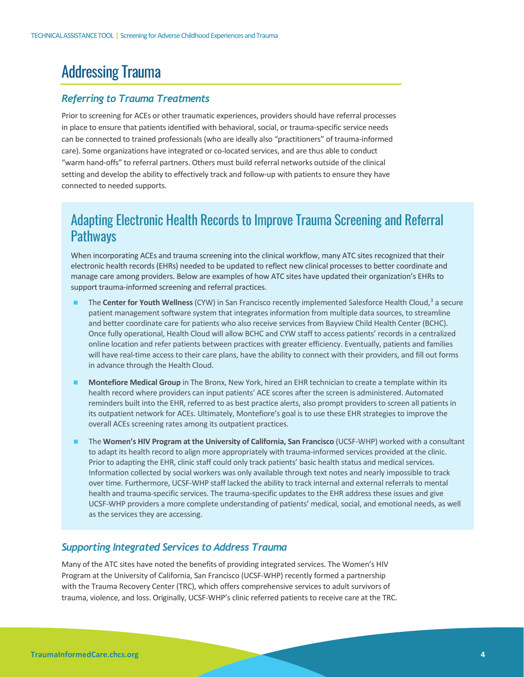# Addressing Trauma

#### *Referring to Trauma Treatments*

Prior to screening for ACEs or other traumatic experiences, providers should have referral processes in place to ensure that patients identified with behavioral, social, or trauma-specific service needs can be connected to trained professionals (who are ideally also "practitioners" of trauma-informed care). Some organizations have integrated or co-located services, and are thus able to conduct "warm hand-offs" to referral partners. Others must build referral networks outside of the clinical setting and develop the ability to effectively track and follow-up with patients to ensure they have connected to needed supports.

### Adapting Electronic Health Records to Improve Trauma Screening and Referral **Pathways**

When incorporating ACEs and trauma screening into the clinical workflow, many ATC sites recognized that their electronic health records (EHRs) needed to be updated to reflect new clinical processes to better coordinate and manage care among providers. Below are examples of how ATC sites have updated their organization's EHRs to support trauma-informed screening and referral practices.

- The **Center for Youth Wellness**(CYW) in San Francisco recently implemented Salesforce Health Cloud,[3](#page-4-2) a secure patient management software system that integrates information from multiple data sources, to streamline and better coordinate care for patients who also receive services from Bayview Child Health Center (BCHC). Once fully operational, Health Cloud will allow BCHC and CYW staff to access patients' records in a centralized online location and refer patients between practices with greater efficiency. Eventually, patients and families will have real-time access to their care plans, have the ability to connect with their providers, and fill out forms in advance through the Health Cloud.
- **Montefiore Medical Group** in The Bronx, New York, hired an EHR technician to create a template within its health record where providers can input patients' ACE scores after the screen is administered. Automated reminders built into the EHR, referred to as best practice alerts, also prompt providers to screen all patients in its outpatient network for ACEs. Ultimately, Montefiore's goal is to use these EHR strategies to improve the overall ACEs screening rates among its outpatient practices.
- The **Women's HIV Program at the University of California, San Francisco** (UCSF-WHP) worked with a consultant to adapt its health record to align more appropriately with trauma-informed services provided at the clinic. Prior to adapting the EHR, clinic staff could only track patients' basic health status and medical services. Information collected by social workers was only available through text notes and nearly impossible to track over time. Furthermore, UCSF-WHP staff lacked the ability to track internal and external referrals to mental health and trauma-specific services. The trauma-specific updates to the EHR address these issues and give UCSF-WHP providers a more complete understanding of patients' medical, social, and emotional needs, as well as the services they are accessing.

#### *Supporting Integrated Services to Address Trauma*

Many of the ATC sites have noted the benefits of providing integrated services. The Women's HIV Program at the University of California, San Francisco (UCSF-WHP) recently formed a partnership with the Trauma Recovery Center (TRC), which offers comprehensive services to adult survivors of trauma, violence, and loss. Originally, UCSF-WHP's clinic referred patients to receive care at the TRC.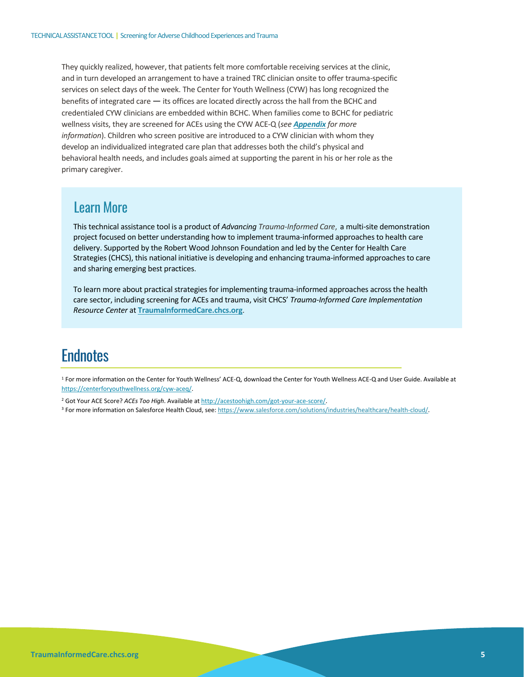They quickly realized, however, that patients felt more comfortable receiving services at the clinic, and in turn developed an arrangement to have a trained TRC clinician onsite to offer trauma-specific services on select days of the week. The Center for Youth Wellness (CYW) has long recognized the benefits of integrated care — its offices are located directly across the hall from the BCHC and credentialed CYW clinicians are embedded within BCHC. When families come to BCHC for pediatric wellness visits, they are screened for ACEs using the CYW ACE-Q (*see [Appendix](#page-5-0) for more information*). Children who screen positive are introduced to a CYW clinician with whom they develop an individualized integrated care plan that addresses both the child's physical and behavioral health needs, and includes goals aimed at supporting the parent in his or her role as the primary caregiver.

### Learn More

This technical assistance tool is a product of *Advancing Trauma-Informed Care*, a multi-site demonstration project focused on better understanding how to implement trauma-informed approaches to health care delivery. Supported by the Robert Wood Johnson Foundation and led by the Center for Health Care Strategies (CHCS), this national initiative is developing and enhancing trauma-informed approaches to care and sharing emerging best practices.

To learn more about practical strategies for implementing trauma-informed approaches across the health care sector, including screening for ACEs and trauma, visit CHCS' *Trauma-Informed Care Implementation Resource Center* at **TraumaInformedCare.chcs.org**.

## **Endnotes**

<span id="page-4-0"></span><sup>1</sup> For more information on the Center for Youth Wellness' ACE-Q, download the Center for Youth Wellness ACE-Q and User Guide. Available at [https://centerforyouthwellness.org/cyw-aceq/.](https://centerforyouthwellness.org/cyw-aceq/)

<span id="page-4-1"></span><sup>2</sup> Got Your ACE Score? *ACEs Too High*. Available a[t http://acestoohigh.com/got-your-ace-score/.](http://acestoohigh.com/got-your-ace-score/)

<span id="page-4-2"></span><sup>3</sup> For more information on Salesforce Health Cloud, see: https://www.salesforce.com/solutions/industries/healthcare/health-cloud/.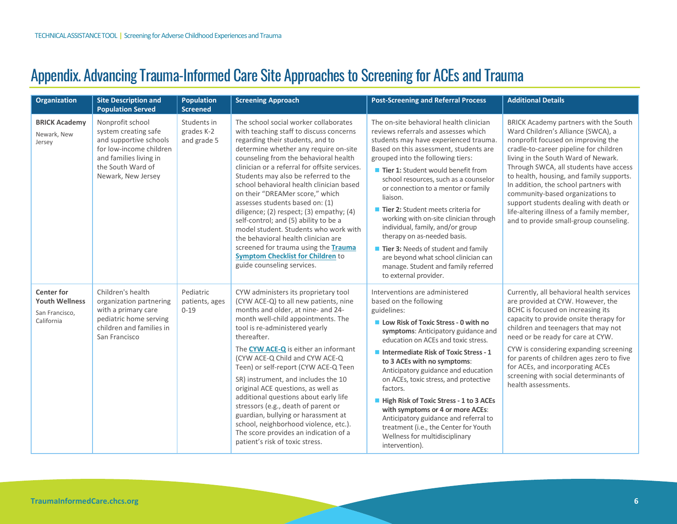# Appendix. Advancing Trauma-Informed Care Site Approaches to Screening for ACEs and Trauma

<span id="page-5-0"></span>

| <b>Organization</b>                                                        | <b>Site Description and</b><br><b>Population Served</b>                                                                                                            | <b>Population</b><br><b>Screened</b>     | <b>Screening Approach</b>                                                                                                                                                                                                                                                                                                                                                                                                                                                                                                                                                                                                                                                                                | <b>Post-Screening and Referral Process</b>                                                                                                                                                                                                                                                                                                                                                                                                                                                                                                                                                                                                    | <b>Additional Details</b>                                                                                                                                                                                                                                                                                                                                                                                                                                                                              |
|----------------------------------------------------------------------------|--------------------------------------------------------------------------------------------------------------------------------------------------------------------|------------------------------------------|----------------------------------------------------------------------------------------------------------------------------------------------------------------------------------------------------------------------------------------------------------------------------------------------------------------------------------------------------------------------------------------------------------------------------------------------------------------------------------------------------------------------------------------------------------------------------------------------------------------------------------------------------------------------------------------------------------|-----------------------------------------------------------------------------------------------------------------------------------------------------------------------------------------------------------------------------------------------------------------------------------------------------------------------------------------------------------------------------------------------------------------------------------------------------------------------------------------------------------------------------------------------------------------------------------------------------------------------------------------------|--------------------------------------------------------------------------------------------------------------------------------------------------------------------------------------------------------------------------------------------------------------------------------------------------------------------------------------------------------------------------------------------------------------------------------------------------------------------------------------------------------|
| <b>BRICK Academy</b><br>Newark, New<br>Jersey                              | Nonprofit school<br>system creating safe<br>and supportive schools<br>for low-income children<br>and families living in<br>the South Ward of<br>Newark, New Jersey | Students in<br>grades K-2<br>and grade 5 | The school social worker collaborates<br>with teaching staff to discuss concerns<br>regarding their students, and to<br>determine whether any require on-site<br>counseling from the behavioral health<br>clinician or a referral for offsite services.<br>Students may also be referred to the<br>school behavioral health clinician based<br>on their "DREAMer score." which<br>assesses students based on: (1)<br>diligence; (2) respect; (3) empathy; (4)<br>self-control; and (5) ability to be a<br>model student. Students who work with<br>the behavioral health clinician are<br>screened for trauma using the Trauma<br><b>Symptom Checklist for Children to</b><br>guide counseling services. | The on-site behavioral health clinician<br>reviews referrals and assesses which<br>students may have experienced trauma.<br>Based on this assessment, students are<br>grouped into the following tiers:<br>Tier 1: Student would benefit from<br>school resources, such as a counselor<br>or connection to a mentor or family<br>liaison.<br>■ Tier 2: Student meets criteria for<br>working with on-site clinician through<br>individual, family, and/or group<br>therapy on as-needed basis.<br>Tier 3: Needs of student and family<br>are beyond what school clinician can<br>manage. Student and family referred<br>to external provider. | BRICK Academy partners with the South<br>Ward Children's Alliance (SWCA), a<br>nonprofit focused on improving the<br>cradle-to-career pipeline for children<br>living in the South Ward of Newark.<br>Through SWCA, all students have access<br>to health, housing, and family supports.<br>In addition, the school partners with<br>community-based organizations to<br>support students dealing with death or<br>life-altering illness of a family member,<br>and to provide small-group counseling. |
| <b>Center for</b><br><b>Youth Wellness</b><br>San Francisco,<br>California | Children's health<br>organization partnering<br>with a primary care<br>pediatric home serving<br>children and families in<br>San Francisco                         | Pediatric<br>patients, ages<br>$0 - 19$  | CYW administers its proprietary tool<br>(CYW ACE-Q) to all new patients, nine<br>months and older, at nine- and 24-<br>month well-child appointments. The<br>tool is re-administered yearly<br>thereafter.<br>The CYW ACE-Q is either an informant<br>(CYW ACE-Q Child and CYW ACE-Q<br>Teen) or self-report (CYW ACE-Q Teen<br>SR) instrument, and includes the 10<br>original ACE questions, as well as<br>additional questions about early life<br>stressors (e.g., death of parent or<br>guardian, bullying or harassment at<br>school, neighborhood violence, etc.).<br>The score provides an indication of a<br>patient's risk of toxic stress.                                                    | Interventions are administered<br>based on the following<br>guidelines:<br>Low Risk of Toxic Stress - 0 with no<br>symptoms: Anticipatory guidance and<br>education on ACEs and toxic stress.<br>Intermediate Risk of Toxic Stress - 1<br>to 3 ACEs with no symptoms:<br>Anticipatory guidance and education<br>on ACEs, toxic stress, and protective<br>factors.<br>High Risk of Toxic Stress - 1 to 3 ACEs<br>with symptoms or 4 or more ACEs:<br>Anticipatory guidance and referral to<br>treatment (i.e., the Center for Youth<br>Wellness for multidisciplinary<br>intervention).                                                        | Currently, all behavioral health services<br>are provided at CYW. However, the<br>BCHC is focused on increasing its<br>capacity to provide onsite therapy for<br>children and teenagers that may not<br>need or be ready for care at CYW.<br>CYW is considering expanding screening<br>for parents of children ages zero to five<br>for ACEs, and incorporating ACEs<br>screening with social determinants of<br>health assessments.                                                                   |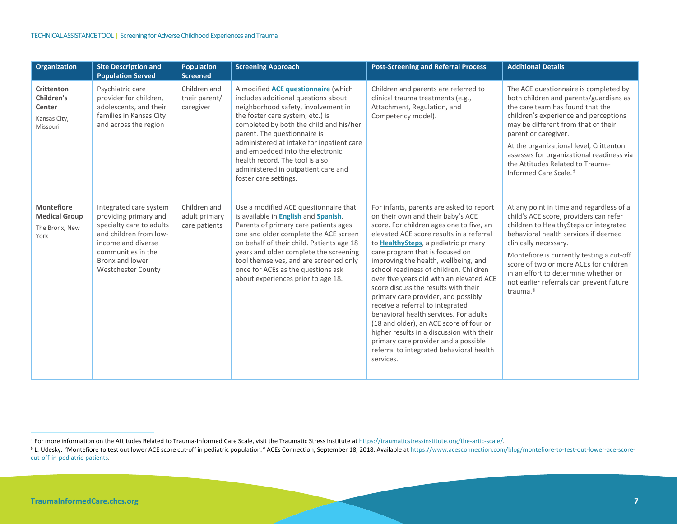<span id="page-6-1"></span><span id="page-6-0"></span>

| <b>Organization</b>                                                   | <b>Site Description and</b><br><b>Population Served</b>                                                                                                                                           | <b>Population</b><br><b>Screened</b>           | <b>Screening Approach</b>                                                                                                                                                                                                                                                                                                                                                                                                   | <b>Post-Screening and Referral Process</b>                                                                                                                                                                                                                                                                                                                                                                                                                                                                                                                                                                                                                                                                                                   | <b>Additional Details</b>                                                                                                                                                                                                                                                                                                                                                                    |
|-----------------------------------------------------------------------|---------------------------------------------------------------------------------------------------------------------------------------------------------------------------------------------------|------------------------------------------------|-----------------------------------------------------------------------------------------------------------------------------------------------------------------------------------------------------------------------------------------------------------------------------------------------------------------------------------------------------------------------------------------------------------------------------|----------------------------------------------------------------------------------------------------------------------------------------------------------------------------------------------------------------------------------------------------------------------------------------------------------------------------------------------------------------------------------------------------------------------------------------------------------------------------------------------------------------------------------------------------------------------------------------------------------------------------------------------------------------------------------------------------------------------------------------------|----------------------------------------------------------------------------------------------------------------------------------------------------------------------------------------------------------------------------------------------------------------------------------------------------------------------------------------------------------------------------------------------|
| <b>Crittenton</b><br>Children's<br>Center<br>Kansas City,<br>Missouri | Psychiatric care<br>provider for children,<br>adolescents, and their<br>families in Kansas City<br>and across the region                                                                          | Children and<br>their parent/<br>caregiver     | A modified <b>ACE questionnaire</b> (which<br>includes additional questions about<br>neighborhood safety, involvement in<br>the foster care system, etc.) is<br>completed by both the child and his/her<br>parent. The questionnaire is<br>administered at intake for inpatient care<br>and embedded into the electronic<br>health record. The tool is also<br>administered in outpatient care and<br>foster care settings. | Children and parents are referred to<br>clinical trauma treatments (e.g.,<br>Attachment, Regulation, and<br>Competency model).                                                                                                                                                                                                                                                                                                                                                                                                                                                                                                                                                                                                               | The ACE questionnaire is completed by<br>both children and parents/guardians as<br>the care team has found that the<br>children's experience and perceptions<br>may be different from that of their<br>parent or caregiver.<br>At the organizational level, Crittenton<br>assesses for organizational readiness via<br>the Attitudes Related to Trauma-<br>Informed Care Scale. <sup>#</sup> |
| <b>Montefiore</b><br><b>Medical Group</b><br>The Bronx, New<br>York   | Integrated care system<br>providing primary and<br>specialty care to adults<br>and children from low-<br>income and diverse<br>communities in the<br>Bronx and lower<br><b>Westchester County</b> | Children and<br>adult primary<br>care patients | Use a modified ACE questionnaire that<br>is available in <b>English</b> and <b>Spanish</b> .<br>Parents of primary care patients ages<br>one and older complete the ACE screen<br>on behalf of their child. Patients age 18<br>years and older complete the screening<br>tool themselves, and are screened only<br>once for ACEs as the questions ask<br>about experiences prior to age 18.                                 | For infants, parents are asked to report<br>on their own and their baby's ACE<br>score. For children ages one to five, an<br>elevated ACE score results in a referral<br>to <b>HealthySteps</b> , a pediatric primary<br>care program that is focused on<br>improving the health, wellbeing, and<br>school readiness of children. Children<br>over five years old with an elevated ACE<br>score discuss the results with their<br>primary care provider, and possibly<br>receive a referral to integrated<br>behavioral health services. For adults<br>(18 and older), an ACE score of four or<br>higher results in a discussion with their<br>primary care provider and a possible<br>referral to integrated behavioral health<br>services. | At any point in time and regardless of a<br>child's ACE score, providers can refer<br>children to HealthySteps or integrated<br>behavioral health services if deemed<br>clinically necessary.<br>Montefiore is currently testing a cut-off<br>score of two or more ACEs for children<br>in an effort to determine whether or<br>not earlier referrals can prevent future<br>trauma. $6$      |

<sup>\*</sup> For more information on the Attitudes Related to Trauma-Informed Care Scale, visit the Traumatic Stress Institute at https://traumaticstressinstitute.org/the-artic-scale/.<br><sup>§</sup> L. Udesky. "Montefiore to test out lower ACE [cut-off-in-pediatric-patients.](https://www.acesconnection.com/blog/montefiore-to-test-out-lower-ace-score-cut-off-in-pediatric-patients)